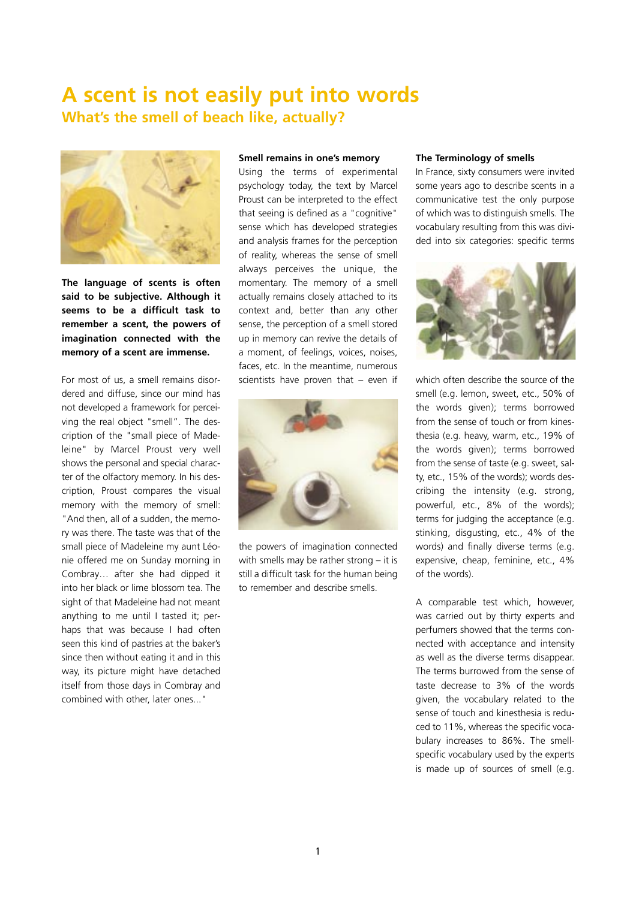## **A scent is not easily put into words What's the smell of beach like, actually?**



**The language of scents is often said to be subjective. Although it seems to be a difficult task to remember a scent, the powers of imagination connected with the memory of a scent are immense.** 

For most of us, a smell remains disordered and diffuse, since our mind has not developed a framework for perceiving the real object "smell". The description of the "small piece of Madeleine" by Marcel Proust very well shows the personal and special character of the olfactory memory. In his description, Proust compares the visual memory with the memory of smell: "And then, all of a sudden, the memory was there. The taste was that of the small piece of Madeleine my aunt Léonie offered me on Sunday morning in Combray… after she had dipped it into her black or lime blossom tea. The sight of that Madeleine had not meant anything to me until I tasted it; perhaps that was because I had often seen this kind of pastries at the baker's since then without eating it and in this way, its picture might have detached itself from those days in Combray and combined with other, later ones..."

## **Smell remains in one's memory**

Using the terms of experimental psychology today, the text by Marcel Proust can be interpreted to the effect that seeing is defined as a "cognitive" sense which has developed strategies and analysis frames for the perception of reality, whereas the sense of smell always perceives the unique, the momentary. The memory of a smell actually remains closely attached to its context and, better than any other sense, the perception of a smell stored up in memory can revive the details of a moment, of feelings, voices, noises, faces, etc. In the meantime, numerous scientists have proven that – even if



the powers of imagination connected with smells may be rather strong – it is still a difficult task for the human being to remember and describe smells.

## **The Terminology of smells**

In France, sixty consumers were invited some years ago to describe scents in a communicative test the only purpose of which was to distinguish smells. The vocabulary resulting from this was divided into six categories: specific terms



which often describe the source of the smell (e.g. lemon, sweet, etc., 50% of the words given); terms borrowed from the sense of touch or from kinesthesia (e.g. heavy, warm, etc., 19% of the words given); terms borrowed from the sense of taste (e.g. sweet, salty, etc., 15% of the words); words describing the intensity (e.g. strong, powerful, etc., 8% of the words); terms for judging the acceptance (e.g. stinking, disgusting, etc., 4% of the words) and finally diverse terms (e.g. expensive, cheap, feminine, etc., 4% of the words).

A comparable test which, however, was carried out by thirty experts and perfumers showed that the terms connected with acceptance and intensity as well as the diverse terms disappear. The terms burrowed from the sense of taste decrease to 3% of the words given, the vocabulary related to the sense of touch and kinesthesia is reduced to 11%, whereas the specific vocabulary increases to 86%. The smellspecific vocabulary used by the experts is made up of sources of smell (e.g.